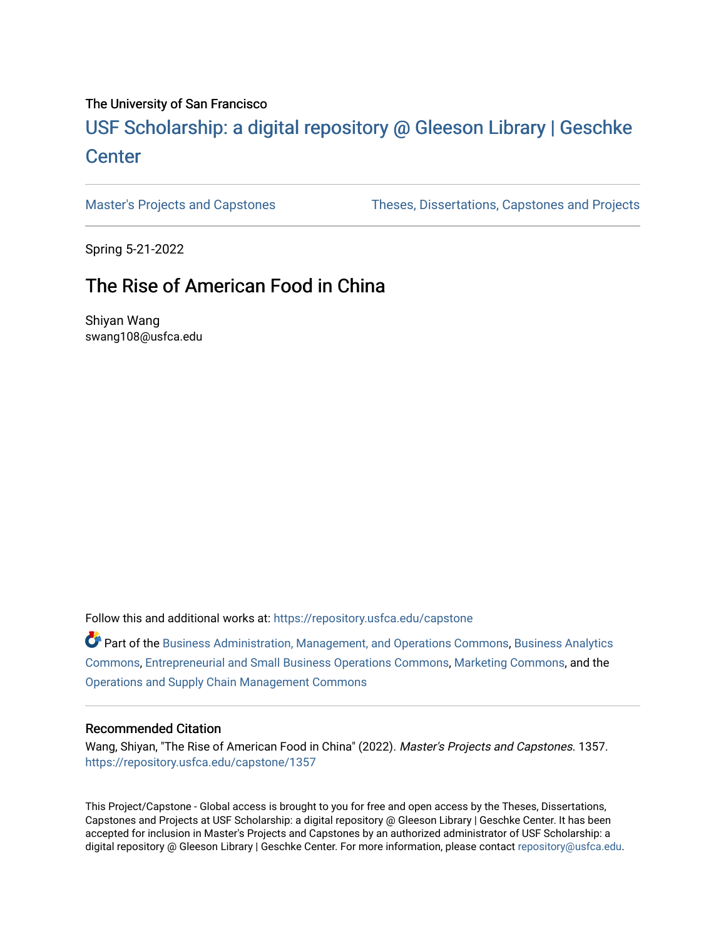# The University of San Francisco

# USF Scholarship: [a digital repository @ Gleeson Libr](https://repository.usfca.edu/)ary | Geschke **Center**

[Master's Projects and Capstones](https://repository.usfca.edu/capstone) [Theses, Dissertations, Capstones and Projects](https://repository.usfca.edu/etd) 

Spring 5-21-2022

# The Rise of American Food in China

Shiyan Wang swang108@usfca.edu

Follow this and additional works at: [https://repository.usfca.edu/capstone](https://repository.usfca.edu/capstone?utm_source=repository.usfca.edu%2Fcapstone%2F1357&utm_medium=PDF&utm_campaign=PDFCoverPages) 

Part of the [Business Administration, Management, and Operations Commons](https://network.bepress.com/hgg/discipline/623?utm_source=repository.usfca.edu%2Fcapstone%2F1357&utm_medium=PDF&utm_campaign=PDFCoverPages), [Business Analytics](https://network.bepress.com/hgg/discipline/1398?utm_source=repository.usfca.edu%2Fcapstone%2F1357&utm_medium=PDF&utm_campaign=PDFCoverPages) [Commons](https://network.bepress.com/hgg/discipline/1398?utm_source=repository.usfca.edu%2Fcapstone%2F1357&utm_medium=PDF&utm_campaign=PDFCoverPages), [Entrepreneurial and Small Business Operations Commons,](https://network.bepress.com/hgg/discipline/630?utm_source=repository.usfca.edu%2Fcapstone%2F1357&utm_medium=PDF&utm_campaign=PDFCoverPages) [Marketing Commons,](https://network.bepress.com/hgg/discipline/638?utm_source=repository.usfca.edu%2Fcapstone%2F1357&utm_medium=PDF&utm_campaign=PDFCoverPages) and the [Operations and Supply Chain Management Commons](https://network.bepress.com/hgg/discipline/1229?utm_source=repository.usfca.edu%2Fcapstone%2F1357&utm_medium=PDF&utm_campaign=PDFCoverPages) 

#### Recommended Citation

Wang, Shiyan, "The Rise of American Food in China" (2022). Master's Projects and Capstones. 1357. [https://repository.usfca.edu/capstone/1357](https://repository.usfca.edu/capstone/1357?utm_source=repository.usfca.edu%2Fcapstone%2F1357&utm_medium=PDF&utm_campaign=PDFCoverPages) 

This Project/Capstone - Global access is brought to you for free and open access by the Theses, Dissertations, Capstones and Projects at USF Scholarship: a digital repository @ Gleeson Library | Geschke Center. It has been accepted for inclusion in Master's Projects and Capstones by an authorized administrator of USF Scholarship: a digital repository @ Gleeson Library | Geschke Center. For more information, please contact [repository@usfca.edu.](mailto:repository@usfca.edu)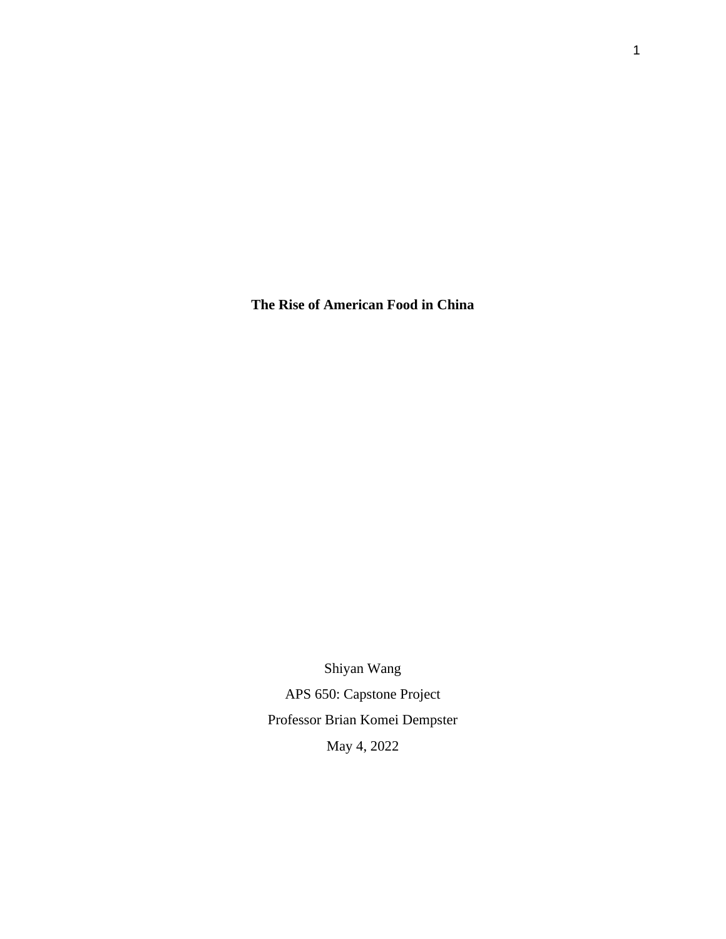**The Rise of American Food in China** 

Shiyan Wang APS 650: Capstone Project Professor Brian Komei Dempster May 4, 2022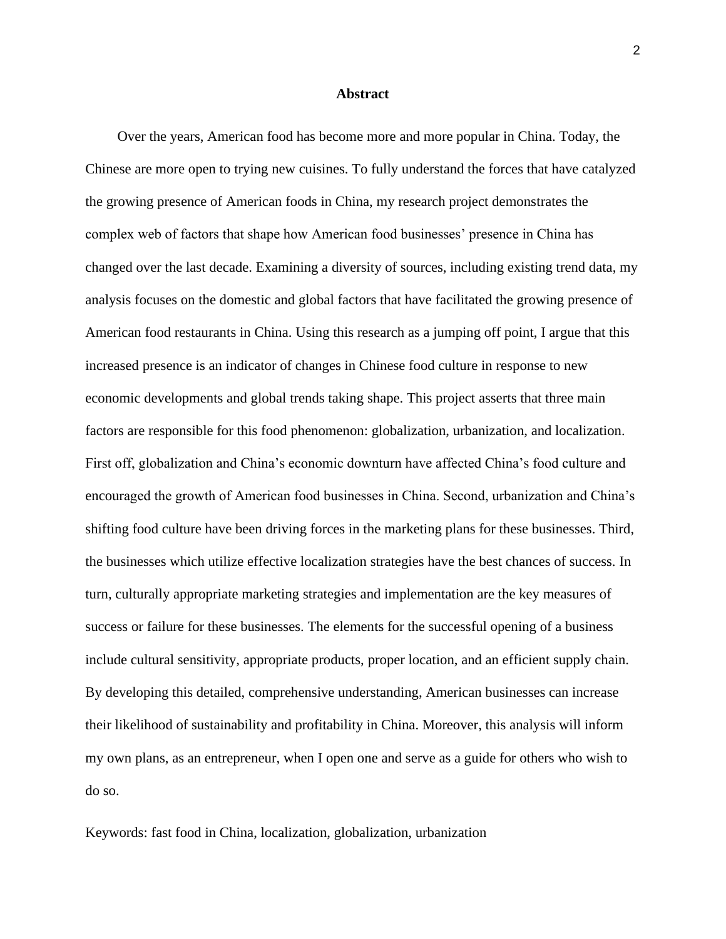#### **Abstract**

Over the years, American food has become more and more popular in China. Today, the Chinese are more open to trying new cuisines. To fully understand the forces that have catalyzed the growing presence of American foods in China, my research project demonstrates the complex web of factors that shape how American food businesses' presence in China has changed over the last decade. Examining a diversity of sources, including existing trend data, my analysis focuses on the domestic and global factors that have facilitated the growing presence of American food restaurants in China. Using this research as a jumping off point, I argue that this increased presence is an indicator of changes in Chinese food culture in response to new economic developments and global trends taking shape. This project asserts that three main factors are responsible for this food phenomenon: globalization, urbanization, and localization. First off, globalization and China's economic downturn have affected China's food culture and encouraged the growth of American food businesses in China. Second, urbanization and China's shifting food culture have been driving forces in the marketing plans for these businesses. Third, the businesses which utilize effective localization strategies have the best chances of success. In turn, culturally appropriate marketing strategies and implementation are the key measures of success or failure for these businesses. The elements for the successful opening of a business include cultural sensitivity, appropriate products, proper location, and an efficient supply chain. By developing this detailed, comprehensive understanding, American businesses can increase their likelihood of sustainability and profitability in China. Moreover, this analysis will inform my own plans, as an entrepreneur, when I open one and serve as a guide for others who wish to do so.

Keywords: fast food in China, localization, globalization, urbanization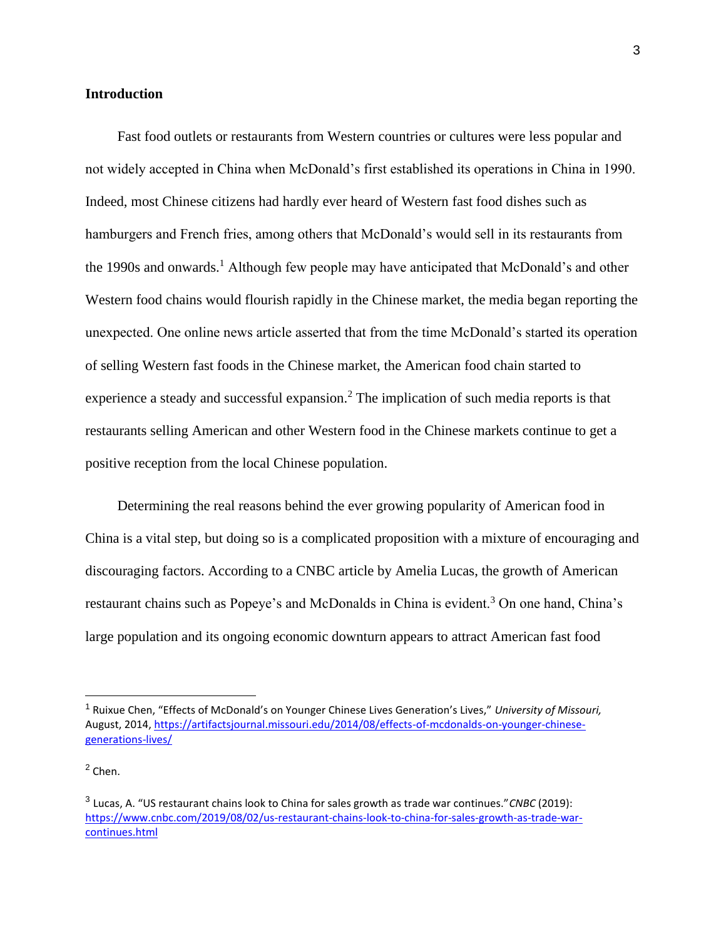# **Introduction**

Fast food outlets or restaurants from Western countries or cultures were less popular and not widely accepted in China when McDonald's first established its operations in China in 1990. Indeed, most Chinese citizens had hardly ever heard of Western fast food dishes such as hamburgers and French fries, among others that McDonald's would sell in its restaurants from the 1990s and onwards.<sup>1</sup> Although few people may have anticipated that McDonald's and other Western food chains would flourish rapidly in the Chinese market, the media began reporting the unexpected. One online news article asserted that from the time McDonald's started its operation of selling Western fast foods in the Chinese market, the American food chain started to experience a steady and successful expansion.<sup>2</sup> The implication of such media reports is that restaurants selling American and other Western food in the Chinese markets continue to get a positive reception from the local Chinese population.

Determining the real reasons behind the ever growing popularity of American food in China is a vital step, but doing so is a complicated proposition with a mixture of encouraging and discouraging factors. According to a CNBC article by Amelia Lucas, the growth of American restaurant chains such as Popeye's and McDonalds in China is evident.<sup>3</sup> On one hand, China's large population and its ongoing economic downturn appears to attract American fast food

<sup>1</sup> Ruixue Chen, "Effects of McDonald's on Younger Chinese Lives Generation's Lives," *University of Missouri,*  August, 2014, [https://artifactsjournal.missouri.edu/2014/08/effects-of-mcdonalds-on-younger-chinese](https://artifactsjournal.missouri.edu/2014/08/effects-of-mcdonalds-on-younger-chinese-generations-lives/)[generations-lives/](https://artifactsjournal.missouri.edu/2014/08/effects-of-mcdonalds-on-younger-chinese-generations-lives/)

 $<sup>2</sup>$  Chen.</sup>

<sup>3</sup> Lucas, A. "US restaurant chains look to China for sales growth as trade war continues."*CNBC* (2019)[:](https://www.cnbc.com/2019/08/02/us-restaurant-chains-look-to-china-for-sales-growth-as-trade-war-continues.html) [https://www.cnbc.com/2019/08/02/us-restaurant-chains-look-to-china-for-sales-growth-as-trade-war](https://www.cnbc.com/2019/08/02/us-restaurant-chains-look-to-china-for-sales-growth-as-trade-war-continues.html)[continues.html](https://www.cnbc.com/2019/08/02/us-restaurant-chains-look-to-china-for-sales-growth-as-trade-war-continues.html)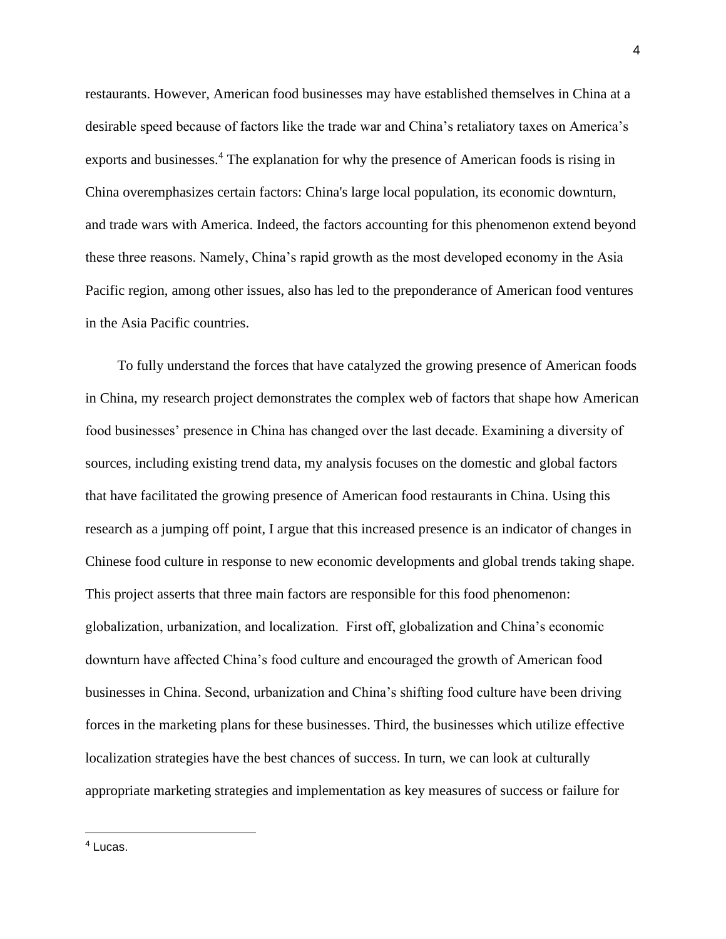restaurants. However, American food businesses may have established themselves in China at a desirable speed because of factors like the trade war and China's retaliatory taxes on America's exports and businesses.<sup>4</sup> The explanation for why the presence of American foods is rising in China overemphasizes certain factors: China's large local population, its economic downturn, and trade wars with America. Indeed, the factors accounting for this phenomenon extend beyond these three reasons. Namely, China's rapid growth as the most developed economy in the Asia Pacific region, among other issues, also has led to the preponderance of American food ventures in the Asia Pacific countries.

To fully understand the forces that have catalyzed the growing presence of American foods in China, my research project demonstrates the complex web of factors that shape how American food businesses' presence in China has changed over the last decade. Examining a diversity of sources, including existing trend data, my analysis focuses on the domestic and global factors that have facilitated the growing presence of American food restaurants in China. Using this research as a jumping off point, I argue that this increased presence is an indicator of changes in Chinese food culture in response to new economic developments and global trends taking shape. This project asserts that three main factors are responsible for this food phenomenon: globalization, urbanization, and localization. First off, globalization and China's economic downturn have affected China's food culture and encouraged the growth of American food businesses in China. Second, urbanization and China's shifting food culture have been driving forces in the marketing plans for these businesses. Third, the businesses which utilize effective localization strategies have the best chances of success. In turn, we can look at culturally appropriate marketing strategies and implementation as key measures of success or failure for

<sup>4</sup> Lucas.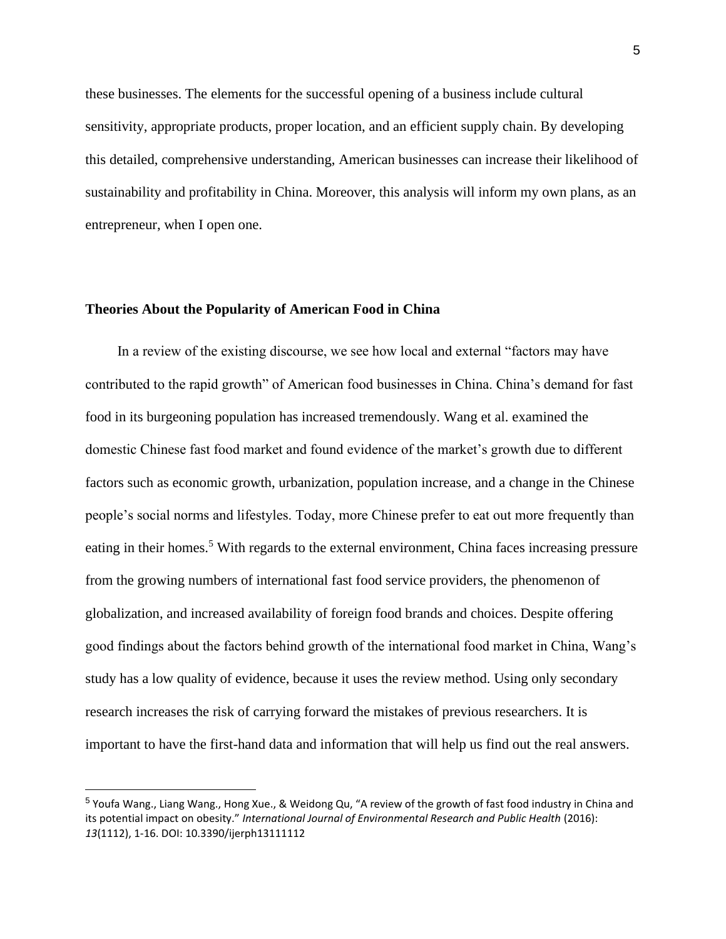these businesses. The elements for the successful opening of a business include cultural sensitivity, appropriate products, proper location, and an efficient supply chain. By developing this detailed, comprehensive understanding, American businesses can increase their likelihood of sustainability and profitability in China. Moreover, this analysis will inform my own plans, as an entrepreneur, when I open one.

### **Theories About the Popularity of American Food in China**

In a review of the existing discourse, we see how local and external "factors may have contributed to the rapid growth" of American food businesses in China. China's demand for fast food in its burgeoning population has increased tremendously. Wang et al. examined the domestic Chinese fast food market and found evidence of the market's growth due to different factors such as economic growth, urbanization, population increase, and a change in the Chinese people's social norms and lifestyles. Today, more Chinese prefer to eat out more frequently than eating in their homes.<sup>5</sup> With regards to the external environment, China faces increasing pressure from the growing numbers of international fast food service providers, the phenomenon of globalization, and increased availability of foreign food brands and choices. Despite offering good findings about the factors behind growth of the international food market in China, Wang's study has a low quality of evidence, because it uses the review method. Using only secondary research increases the risk of carrying forward the mistakes of previous researchers. It is important to have the first-hand data and information that will help us find out the real answers.

<sup>&</sup>lt;sup>5</sup> Youfa Wang., Liang Wang., Hong Xue., & Weidong Qu, "A review of the growth of fast food industry in China and its potential impact on obesity." *International Journal of Environmental Research and Public Health* (2016): *13*(1112), 1-16. DOI: 10.3390/ijerph13111112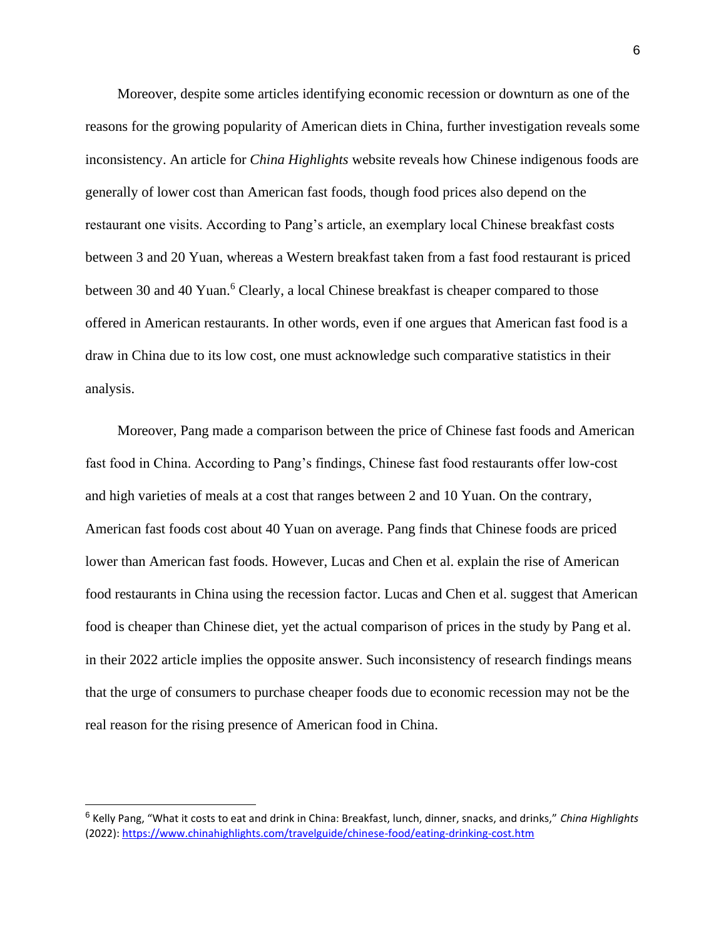Moreover, despite some articles identifying economic recession or downturn as one of the reasons for the growing popularity of American diets in China, further investigation reveals some inconsistency. An article for *China Highlights* website reveals how Chinese indigenous foods are generally of lower cost than American fast foods, though food prices also depend on the restaurant one visits. According to Pang's article, an exemplary local Chinese breakfast costs between 3 and 20 Yuan, whereas a Western breakfast taken from a fast food restaurant is priced between 30 and 40 Yuan.<sup>6</sup> Clearly, a local Chinese breakfast is cheaper compared to those offered in American restaurants. In other words, even if one argues that American fast food is a draw in China due to its low cost, one must acknowledge such comparative statistics in their analysis.

Moreover, Pang made a comparison between the price of Chinese fast foods and American fast food in China. According to Pang's findings, Chinese fast food restaurants offer low-cost and high varieties of meals at a cost that ranges between 2 and 10 Yuan. On the contrary, American fast foods cost about 40 Yuan on average. Pang finds that Chinese foods are priced lower than American fast foods. However, Lucas and Chen et al. explain the rise of American food restaurants in China using the recession factor. Lucas and Chen et al. suggest that American food is cheaper than Chinese diet, yet the actual comparison of prices in the study by Pang et al. in their 2022 article implies the opposite answer. Such inconsistency of research findings means that the urge of consumers to purchase cheaper foods due to economic recession may not be the real reason for the rising presence of American food in China.

<sup>6</sup> Kelly Pang, "What it costs to eat and drink in China: Breakfast, lunch, dinner, snacks, and drinks," *China Highlights* (2022): <https://www.chinahighlights.com/travelguide/chinese-food/eating-drinking-cost.htm>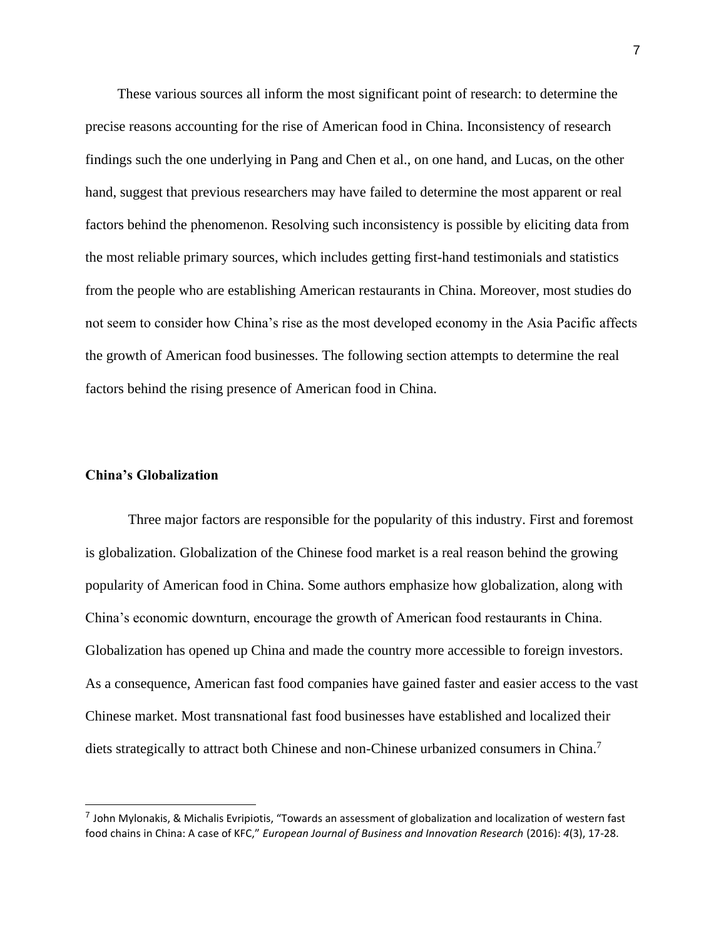These various sources all inform the most significant point of research: to determine the precise reasons accounting for the rise of American food in China. Inconsistency of research findings such the one underlying in Pang and Chen et al., on one hand, and Lucas, on the other hand, suggest that previous researchers may have failed to determine the most apparent or real factors behind the phenomenon. Resolving such inconsistency is possible by eliciting data from the most reliable primary sources, which includes getting first-hand testimonials and statistics from the people who are establishing American restaurants in China. Moreover, most studies do not seem to consider how China's rise as the most developed economy in the Asia Pacific affects the growth of American food businesses. The following section attempts to determine the real factors behind the rising presence of American food in China.

# **China's Globalization**

Three major factors are responsible for the popularity of this industry. First and foremost is globalization. Globalization of the Chinese food market is a real reason behind the growing popularity of American food in China. Some authors emphasize how globalization, along with China's economic downturn, encourage the growth of American food restaurants in China. Globalization has opened up China and made the country more accessible to foreign investors. As a consequence, American fast food companies have gained faster and easier access to the vast Chinese market. Most transnational fast food businesses have established and localized their diets strategically to attract both Chinese and non-Chinese urbanized consumers in China.<sup>7</sup>

<sup>&</sup>lt;sup>7</sup> John Mylonakis, & Michalis Evripiotis, "Towards an assessment of globalization and localization of western fast food chains in China: A case of KFC," *European Journal of Business and Innovation Research* (2016): *4*(3), 17-28.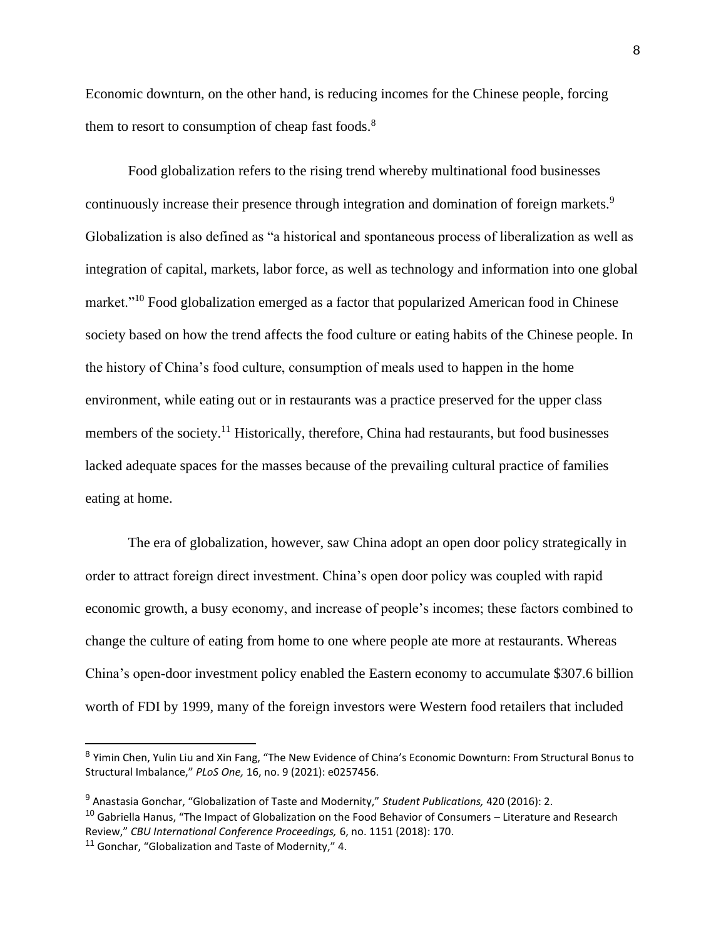Economic downturn, on the other hand, is reducing incomes for the Chinese people, forcing them to resort to consumption of cheap fast foods.<sup>8</sup>

Food globalization refers to the rising trend whereby multinational food businesses continuously increase their presence through integration and domination of foreign markets.<sup>9</sup> Globalization is also defined as "a historical and spontaneous process of liberalization as well as integration of capital, markets, labor force, as well as technology and information into one global market."<sup>10</sup> Food globalization emerged as a factor that popularized American food in Chinese society based on how the trend affects the food culture or eating habits of the Chinese people. In the history of China's food culture, consumption of meals used to happen in the home environment, while eating out or in restaurants was a practice preserved for the upper class members of the society.<sup>11</sup> Historically, therefore, China had restaurants, but food businesses lacked adequate spaces for the masses because of the prevailing cultural practice of families eating at home.

The era of globalization, however, saw China adopt an open door policy strategically in order to attract foreign direct investment. China's open door policy was coupled with rapid economic growth, a busy economy, and increase of people's incomes; these factors combined to change the culture of eating from home to one where people ate more at restaurants. Whereas China's open-door investment policy enabled the Eastern economy to accumulate \$307.6 billion worth of FDI by 1999, many of the foreign investors were Western food retailers that included

<sup>10</sup> Gabriella Hanus, "The Impact of Globalization on the Food Behavior of Consumers – Literature and Research Review," *CBU International Conference Proceedings,* 6, no. 1151 (2018): 170.

<sup>&</sup>lt;sup>8</sup> Yimin Chen, Yulin Liu and Xin Fang, "The New Evidence of China's Economic Downturn: From Structural Bonus to Structural Imbalance," *PLoS One,* 16, no. 9 (2021): e0257456.

<sup>9</sup> Anastasia Gonchar, "Globalization of Taste and Modernity," *Student Publications,* 420 (2016): 2.

<sup>&</sup>lt;sup>11</sup> Gonchar, "Globalization and Taste of Modernity," 4.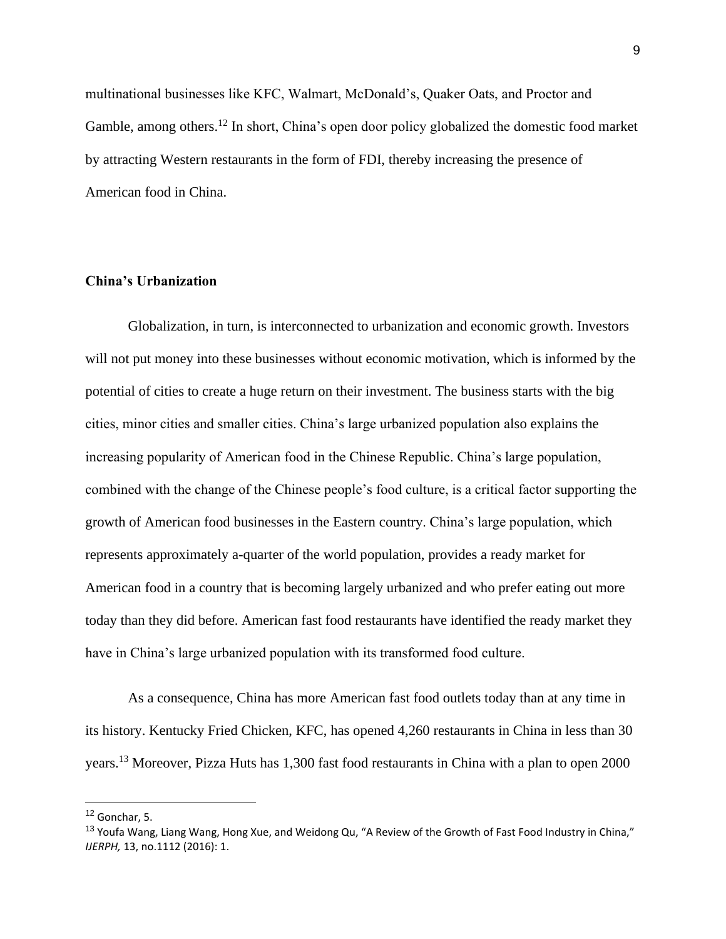multinational businesses like KFC, Walmart, McDonald's, Quaker Oats, and Proctor and Gamble, among others.<sup>12</sup> In short, China's open door policy globalized the domestic food market by attracting Western restaurants in the form of FDI, thereby increasing the presence of American food in China.

# **China's Urbanization**

Globalization, in turn, is interconnected to urbanization and economic growth. Investors will not put money into these businesses without economic motivation, which is informed by the potential of cities to create a huge return on their investment. The business starts with the big cities, minor cities and smaller cities. China's large urbanized population also explains the increasing popularity of American food in the Chinese Republic. China's large population, combined with the change of the Chinese people's food culture, is a critical factor supporting the growth of American food businesses in the Eastern country. China's large population, which represents approximately a-quarter of the world population, provides a ready market for American food in a country that is becoming largely urbanized and who prefer eating out more today than they did before. American fast food restaurants have identified the ready market they have in China's large urbanized population with its transformed food culture.

As a consequence, China has more American fast food outlets today than at any time in its history. Kentucky Fried Chicken, KFC, has opened 4,260 restaurants in China in less than 30 years.<sup>13</sup> Moreover, Pizza Huts has 1,300 fast food restaurants in China with a plan to open 2000

 $12$  Gonchar, 5.

<sup>&</sup>lt;sup>13</sup> Youfa Wang, Liang Wang, Hong Xue, and Weidong Qu, "A Review of the Growth of Fast Food Industry in China," *IJERPH,* 13, no.1112 (2016): 1.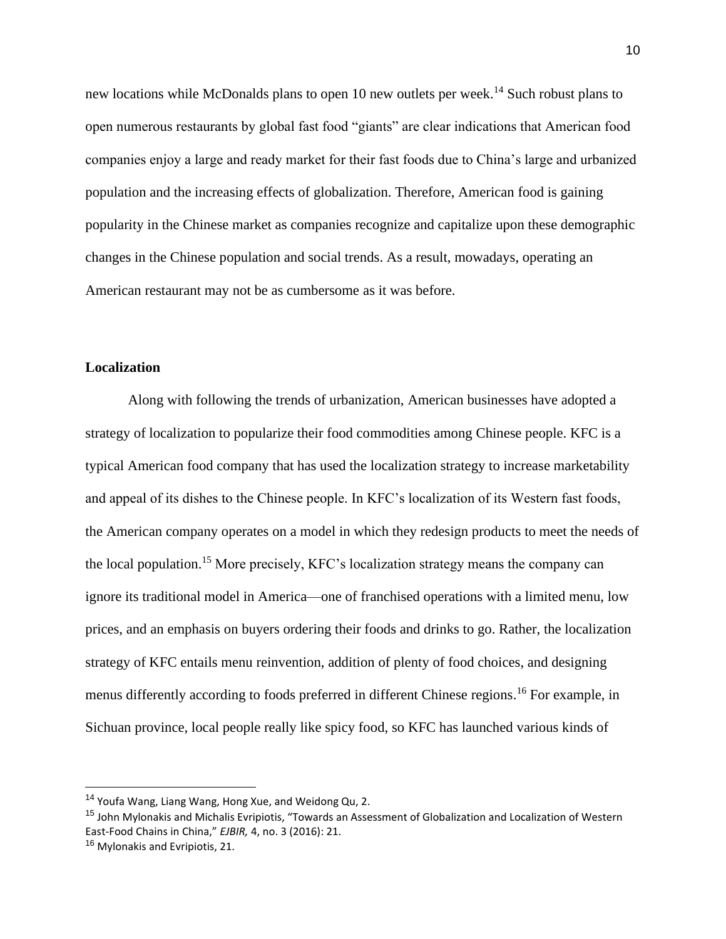new locations while McDonalds plans to open 10 new outlets per week.<sup>14</sup> Such robust plans to open numerous restaurants by global fast food "giants" are clear indications that American food companies enjoy a large and ready market for their fast foods due to China's large and urbanized population and the increasing effects of globalization. Therefore, American food is gaining popularity in the Chinese market as companies recognize and capitalize upon these demographic changes in the Chinese population and social trends. As a result, mowadays, operating an American restaurant may not be as cumbersome as it was before.

# **Localization**

Along with following the trends of urbanization, American businesses have adopted a strategy of localization to popularize their food commodities among Chinese people. KFC is a typical American food company that has used the localization strategy to increase marketability and appeal of its dishes to the Chinese people. In KFC's localization of its Western fast foods, the American company operates on a model in which they redesign products to meet the needs of the local population.<sup>15</sup> More precisely, KFC's localization strategy means the company can ignore its traditional model in America—one of franchised operations with a limited menu, low prices, and an emphasis on buyers ordering their foods and drinks to go. Rather, the localization strategy of KFC entails menu reinvention, addition of plenty of food choices, and designing menus differently according to foods preferred in different Chinese regions.<sup>16</sup> For example, in Sichuan province, local people really like spicy food, so KFC has launched various kinds of

<sup>14</sup> Youfa Wang, Liang Wang, Hong Xue, and Weidong Qu, 2.

<sup>&</sup>lt;sup>15</sup> John Mylonakis and Michalis Evripiotis, "Towards an Assessment of Globalization and Localization of Western East-Food Chains in China," *EJBIR,* 4, no. 3 (2016): 21.

<sup>&</sup>lt;sup>16</sup> Mylonakis and Evripiotis, 21.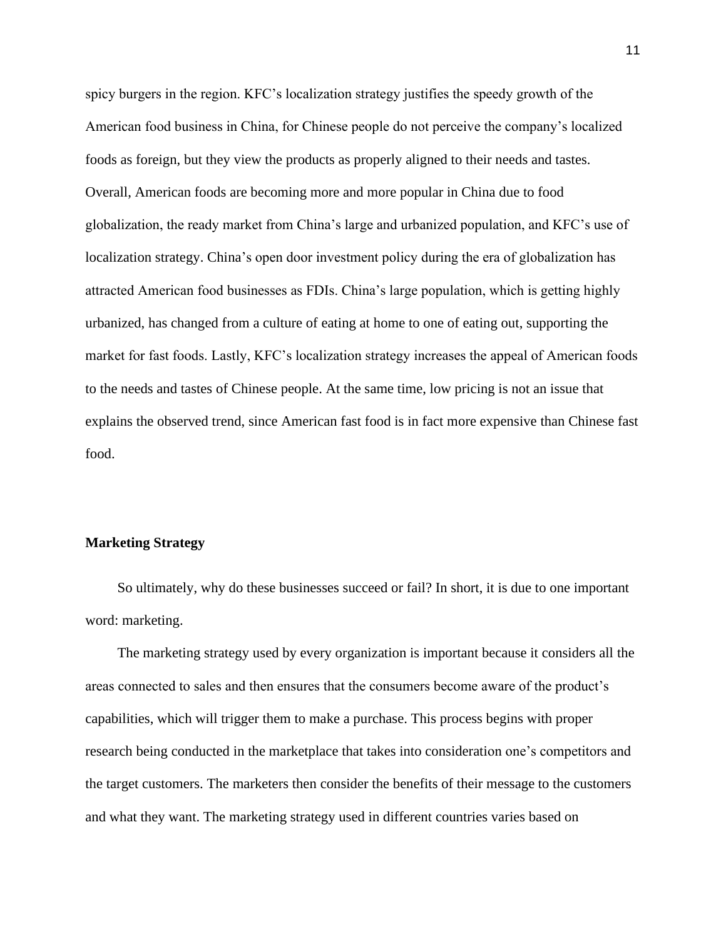spicy burgers in the region. KFC's localization strategy justifies the speedy growth of the American food business in China, for Chinese people do not perceive the company's localized foods as foreign, but they view the products as properly aligned to their needs and tastes. Overall, American foods are becoming more and more popular in China due to food globalization, the ready market from China's large and urbanized population, and KFC's use of localization strategy. China's open door investment policy during the era of globalization has attracted American food businesses as FDIs. China's large population, which is getting highly urbanized, has changed from a culture of eating at home to one of eating out, supporting the market for fast foods. Lastly, KFC's localization strategy increases the appeal of American foods to the needs and tastes of Chinese people. At the same time, low pricing is not an issue that explains the observed trend, since American fast food is in fact more expensive than Chinese fast food.

# **Marketing Strategy**

So ultimately, why do these businesses succeed or fail? In short, it is due to one important word: marketing.

The marketing strategy used by every organization is important because it considers all the areas connected to sales and then ensures that the consumers become aware of the product's capabilities, which will trigger them to make a purchase. This process begins with proper research being conducted in the marketplace that takes into consideration one's competitors and the target customers. The marketers then consider the benefits of their message to the customers and what they want. The marketing strategy used in different countries varies based on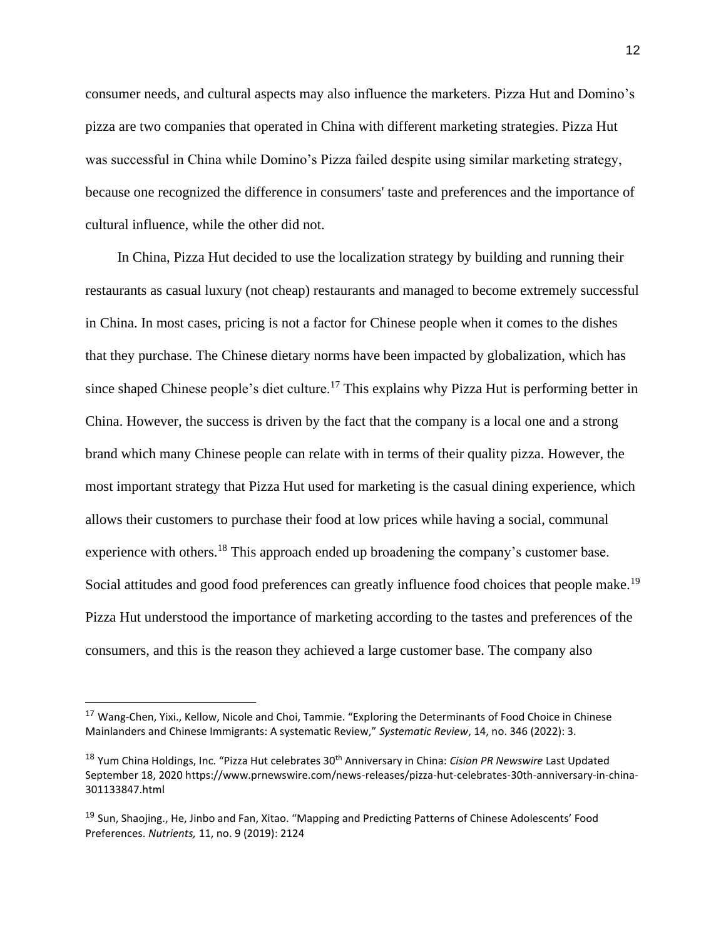consumer needs, and cultural aspects may also influence the marketers. Pizza Hut and Domino's pizza are two companies that operated in China with different marketing strategies. Pizza Hut was successful in China while Domino's Pizza failed despite using similar marketing strategy, because one recognized the difference in consumers' taste and preferences and the importance of cultural influence, while the other did not.

In China, Pizza Hut decided to use the localization strategy by building and running their restaurants as casual luxury (not cheap) restaurants and managed to become extremely successful in China. In most cases, pricing is not a factor for Chinese people when it comes to the dishes that they purchase. The Chinese dietary norms have been impacted by globalization, which has since shaped Chinese people's diet culture.<sup>17</sup> This explains why Pizza Hut is performing better in China. However, the success is driven by the fact that the company is a local one and a strong brand which many Chinese people can relate with in terms of their quality pizza. However, the most important strategy that Pizza Hut used for marketing is the casual dining experience, which allows their customers to purchase their food at low prices while having a social, communal experience with others.<sup>18</sup> This approach ended up broadening the company's customer base. Social attitudes and good food preferences can greatly influence food choices that people make.<sup>19</sup> Pizza Hut understood the importance of marketing according to the tastes and preferences of the consumers, and this is the reason they achieved a large customer base. The company also

<sup>&</sup>lt;sup>17</sup> Wang-Chen, Yixi., Kellow, Nicole and Choi, Tammie. "Exploring the Determinants of Food Choice in Chinese Mainlanders and Chinese Immigrants: A systematic Review," *Systematic Review*, 14, no. 346 (2022): 3.

<sup>18</sup> Yum China Holdings, Inc. "Pizza Hut celebrates 30th Anniversary in China: *Cision PR Newswire* Last Updated September 18, 2020 https://www.prnewswire.com/news-releases/pizza-hut-celebrates-30th-anniversary-in-china-301133847.html

<sup>&</sup>lt;sup>19</sup> Sun, Shaojing., He, Jinbo and Fan, Xitao. "Mapping and Predicting Patterns of Chinese Adolescents' Food Preferences. *Nutrients,* 11, no. 9 (2019): 2124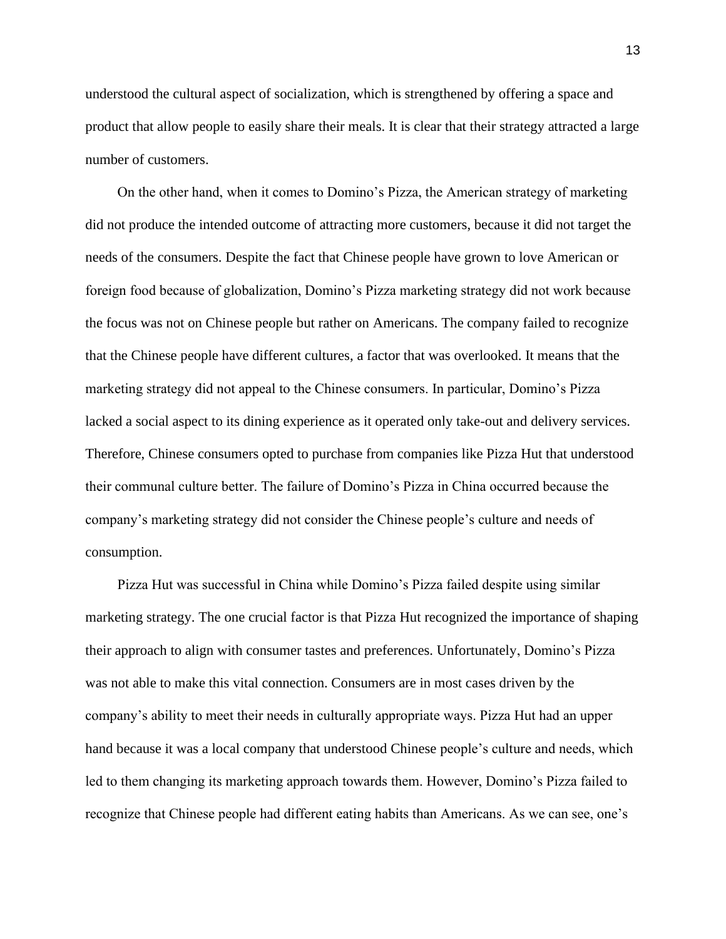understood the cultural aspect of socialization, which is strengthened by offering a space and product that allow people to easily share their meals. It is clear that their strategy attracted a large number of customers.

On the other hand, when it comes to Domino's Pizza, the American strategy of marketing did not produce the intended outcome of attracting more customers, because it did not target the needs of the consumers. Despite the fact that Chinese people have grown to love American or foreign food because of globalization, Domino's Pizza marketing strategy did not work because the focus was not on Chinese people but rather on Americans. The company failed to recognize that the Chinese people have different cultures, a factor that was overlooked. It means that the marketing strategy did not appeal to the Chinese consumers. In particular, Domino's Pizza lacked a social aspect to its dining experience as it operated only take-out and delivery services. Therefore, Chinese consumers opted to purchase from companies like Pizza Hut that understood their communal culture better. The failure of Domino's Pizza in China occurred because the company's marketing strategy did not consider the Chinese people's culture and needs of consumption.

Pizza Hut was successful in China while Domino's Pizza failed despite using similar marketing strategy. The one crucial factor is that Pizza Hut recognized the importance of shaping their approach to align with consumer tastes and preferences. Unfortunately, Domino's Pizza was not able to make this vital connection. Consumers are in most cases driven by the company's ability to meet their needs in culturally appropriate ways. Pizza Hut had an upper hand because it was a local company that understood Chinese people's culture and needs, which led to them changing its marketing approach towards them. However, Domino's Pizza failed to recognize that Chinese people had different eating habits than Americans. As we can see, one's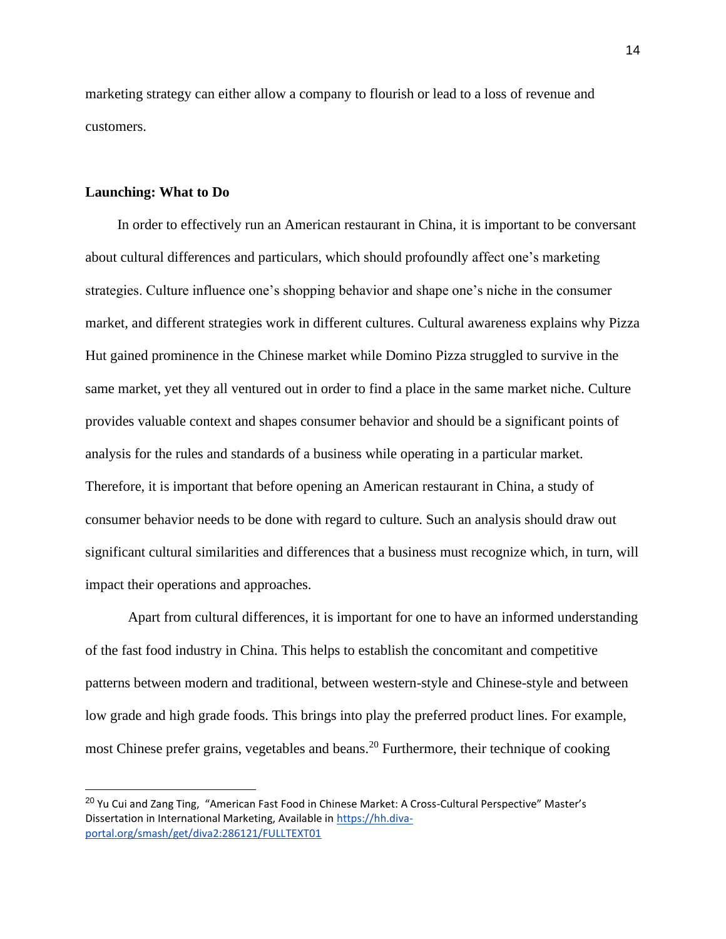marketing strategy can either allow a company to flourish or lead to a loss of revenue and customers.

## **Launching: What to Do**

In order to effectively run an American restaurant in China, it is important to be conversant about cultural differences and particulars, which should profoundly affect one's marketing strategies. Culture influence one's shopping behavior and shape one's niche in the consumer market, and different strategies work in different cultures. Cultural awareness explains why Pizza Hut gained prominence in the Chinese market while Domino Pizza struggled to survive in the same market, yet they all ventured out in order to find a place in the same market niche. Culture provides valuable context and shapes consumer behavior and should be a significant points of analysis for the rules and standards of a business while operating in a particular market. Therefore, it is important that before opening an American restaurant in China, a study of consumer behavior needs to be done with regard to culture. Such an analysis should draw out significant cultural similarities and differences that a business must recognize which, in turn, will impact their operations and approaches.

Apart from cultural differences, it is important for one to have an informed understanding of the fast food industry in China. This helps to establish the concomitant and competitive patterns between modern and traditional, between western-style and Chinese-style and between low grade and high grade foods. This brings into play the preferred product lines. For example, most Chinese prefer grains, vegetables and beans.<sup>20</sup> Furthermore, their technique of cooking

<sup>&</sup>lt;sup>20</sup> Yu Cui and Zang Ting, "American Fast Food in Chinese Market: A Cross-Cultural Perspective" Master's Dissertation in International Marketing, Available in [https://hh.diva](https://hh.diva-portal.org/smash/get/diva2:286121/FULLTEXT01)[portal.org/smash/get/diva2:286121/FULLTEXT01](https://hh.diva-portal.org/smash/get/diva2:286121/FULLTEXT01)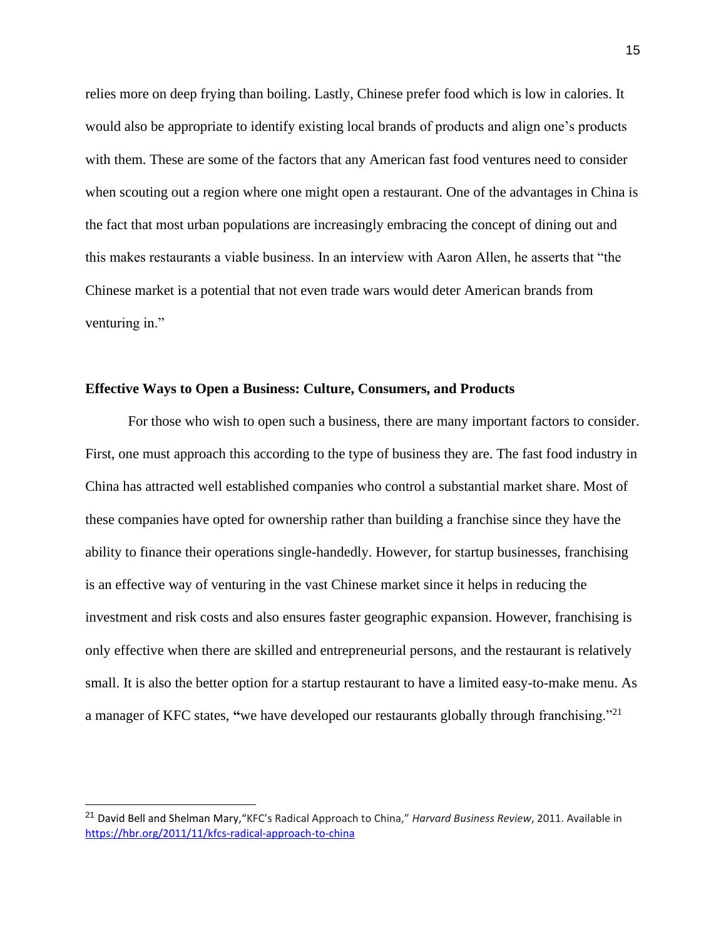relies more on deep frying than boiling. Lastly, Chinese prefer food which is low in calories. It would also be appropriate to identify existing local brands of products and align one's products with them. These are some of the factors that any American fast food ventures need to consider when scouting out a region where one might open a restaurant. One of the advantages in China is the fact that most urban populations are increasingly embracing the concept of dining out and this makes restaurants a viable business. In an interview with Aaron Allen, he asserts that "the Chinese market is a potential that not even trade wars would deter American brands from venturing in."

# **Effective Ways to Open a Business: Culture, Consumers, and Products**

For those who wish to open such a business, there are many important factors to consider. First, one must approach this according to the type of business they are. The fast food industry in China has attracted well established companies who control a substantial market share. Most of these companies have opted for ownership rather than building a franchise since they have the ability to finance their operations single-handedly. However, for startup businesses, franchising is an effective way of venturing in the vast Chinese market since it helps in reducing the investment and risk costs and also ensures faster geographic expansion. However, franchising is only effective when there are skilled and entrepreneurial persons, and the restaurant is relatively small. It is also the better option for a startup restaurant to have a limited easy-to-make menu. As a manager of KFC states, **"**we have developed our restaurants globally through franchising."<sup>21</sup>

<sup>21</sup> David Bell and Shelman Mary,"KFC's Radical Approach to China," *Harvard Business Review*, 2011. Available i[n](https://hbr.org/2011/11/kfcs-radical-approach-to-china) <https://hbr.org/2011/11/kfcs-radical-approach-to-china>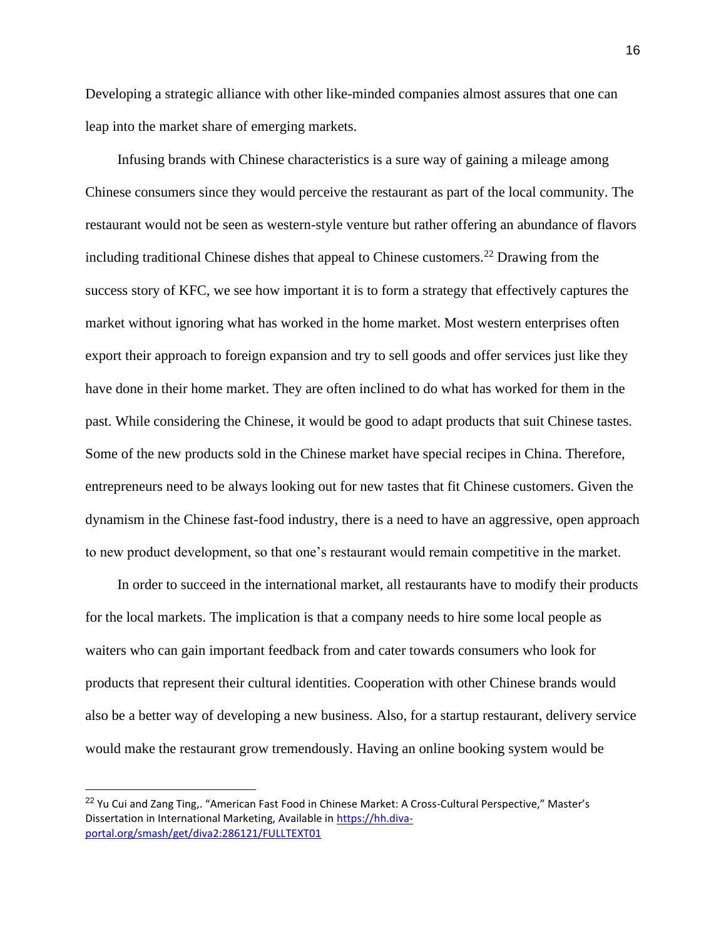Developing a strategic alliance with other like-minded companies almost assures that one can leap into the market share of emerging markets.

Infusing brands with Chinese characteristics is a sure way of gaining a mileage among Chinese consumers since they would perceive the restaurant as part of the local community. The restaurant would not be seen as western-style venture but rather offering an abundance of flavors including traditional Chinese dishes that appeal to Chinese customers.<sup>22</sup> Drawing from the success story of KFC, we see how important it is to form a strategy that effectively captures the market without ignoring what has worked in the home market. Most western enterprises often export their approach to foreign expansion and try to sell goods and offer services just like they have done in their home market. They are often inclined to do what has worked for them in the past. While considering the Chinese, it would be good to adapt products that suit Chinese tastes. Some of the new products sold in the Chinese market have special recipes in China. Therefore, entrepreneurs need to be always looking out for new tastes that fit Chinese customers. Given the dynamism in the Chinese fast-food industry, there is a need to have an aggressive, open approach to new product development, so that one's restaurant would remain competitive in the market.

In order to succeed in the international market, all restaurants have to modify their products for the local markets. The implication is that a company needs to hire some local people as waiters who can gain important feedback from and cater towards consumers who look for products that represent their cultural identities. Cooperation with other Chinese brands would also be a better way of developing a new business. Also, for a startup restaurant, delivery service would make the restaurant grow tremendously. Having an online booking system would be

<sup>&</sup>lt;sup>22</sup> Yu Cui and Zang Ting,. "American Fast Food in Chinese Market: A Cross-Cultural Perspective," Master's Dissertation in International Marketing, Available in [https://hh.diva](https://hh.diva-portal.org/smash/get/diva2:286121/FULLTEXT01)[portal.org/smash/get/diva2:286121/FULLTEXT01](https://hh.diva-portal.org/smash/get/diva2:286121/FULLTEXT01)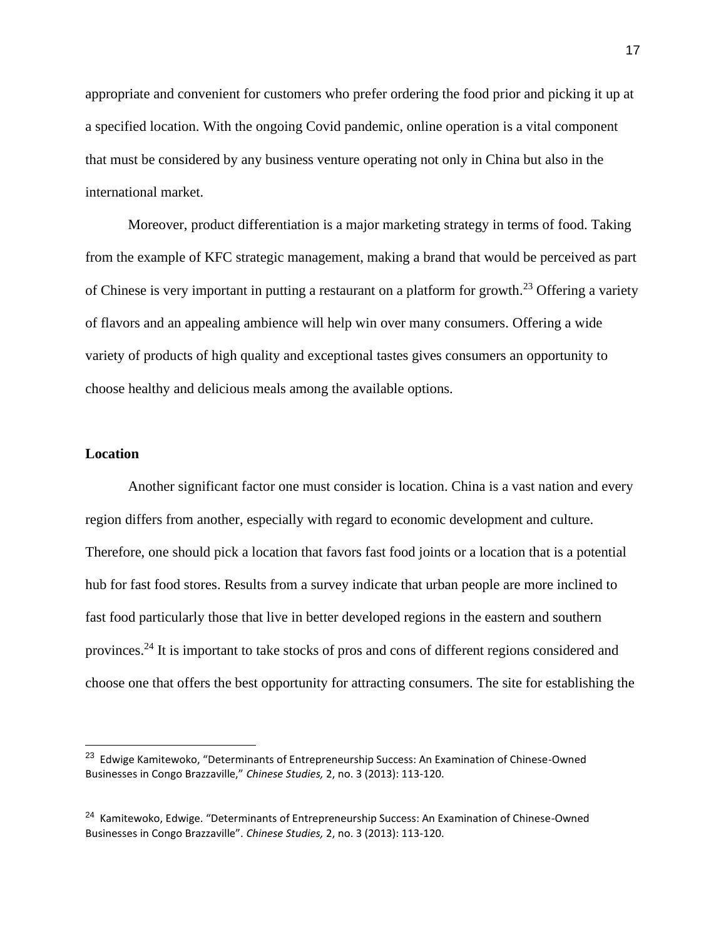appropriate and convenient for customers who prefer ordering the food prior and picking it up at a specified location. With the ongoing Covid pandemic, online operation is a vital component that must be considered by any business venture operating not only in China but also in the international market.

Moreover, product differentiation is a major marketing strategy in terms of food. Taking from the example of KFC strategic management, making a brand that would be perceived as part of Chinese is very important in putting a restaurant on a platform for growth.<sup>23</sup> Offering a variety of flavors and an appealing ambience will help win over many consumers. Offering a wide variety of products of high quality and exceptional tastes gives consumers an opportunity to choose healthy and delicious meals among the available options.

#### **Location**

Another significant factor one must consider is location. China is a vast nation and every region differs from another, especially with regard to economic development and culture. Therefore, one should pick a location that favors fast food joints or a location that is a potential hub for fast food stores. Results from a survey indicate that urban people are more inclined to fast food particularly those that live in better developed regions in the eastern and southern provinces.<sup>24</sup> It is important to take stocks of pros and cons of different regions considered and choose one that offers the best opportunity for attracting consumers. The site for establishing the

<sup>&</sup>lt;sup>23</sup> Edwige Kamitewoko, "Determinants of Entrepreneurship Success: An Examination of Chinese-Owned Businesses in Congo Brazzaville," *Chinese Studies,* 2, no. 3 (2013): 113-120.

<sup>&</sup>lt;sup>24</sup> Kamitewoko, Edwige. "Determinants of Entrepreneurship Success: An Examination of Chinese-Owned Businesses in Congo Brazzaville". *Chinese Studies,* 2, no. 3 (2013): 113-120.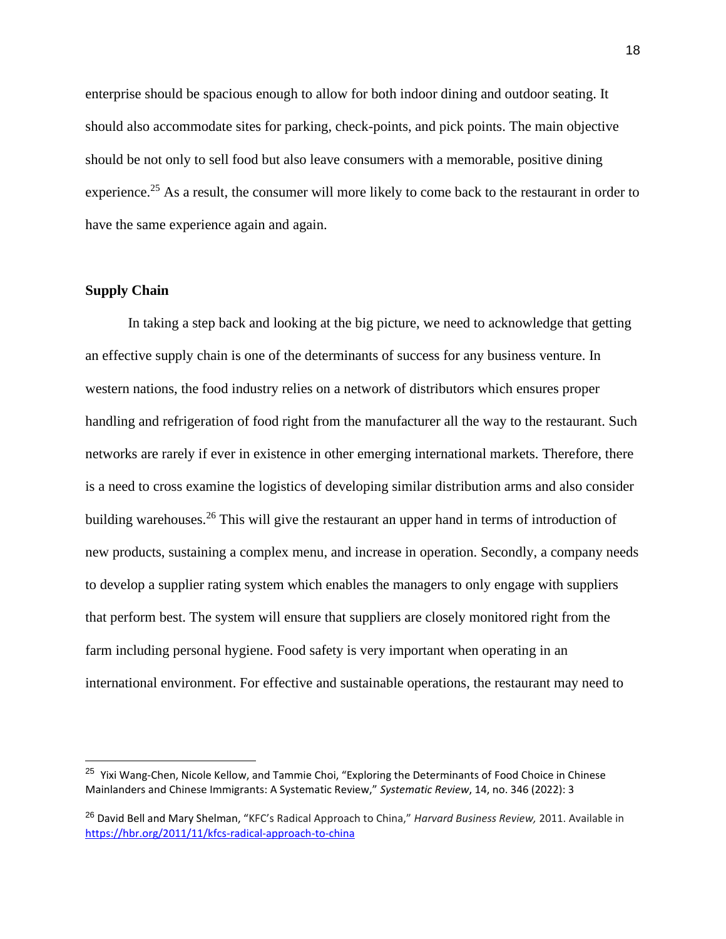enterprise should be spacious enough to allow for both indoor dining and outdoor seating. It should also accommodate sites for parking, check-points, and pick points. The main objective should be not only to sell food but also leave consumers with a memorable, positive dining experience.<sup>25</sup> As a result, the consumer will more likely to come back to the restaurant in order to have the same experience again and again.

# **Supply Chain**

In taking a step back and looking at the big picture, we need to acknowledge that getting an effective supply chain is one of the determinants of success for any business venture. In western nations, the food industry relies on a network of distributors which ensures proper handling and refrigeration of food right from the manufacturer all the way to the restaurant. Such networks are rarely if ever in existence in other emerging international markets. Therefore, there is a need to cross examine the logistics of developing similar distribution arms and also consider building warehouses.<sup>26</sup> This will give the restaurant an upper hand in terms of introduction of new products, sustaining a complex menu, and increase in operation. Secondly, a company needs to develop a supplier rating system which enables the managers to only engage with suppliers that perform best. The system will ensure that suppliers are closely monitored right from the farm including personal hygiene. Food safety is very important when operating in an international environment. For effective and sustainable operations, the restaurant may need to

<sup>&</sup>lt;sup>25</sup> Yixi Wang-Chen, Nicole Kellow, and Tammie Choi, "Exploring the Determinants of Food Choice in Chinese Mainlanders and Chinese Immigrants: A Systematic Review," *Systematic Review*, 14, no. 346 (2022): 3

<sup>26</sup> David Bell and Mary Shelman, "KFC's Radical Approach to China," *Harvard Business Review,* 2011. Available i[n](https://hbr.org/2011/11/kfcs-radical-approach-to-china) <https://hbr.org/2011/11/kfcs-radical-approach-to-china>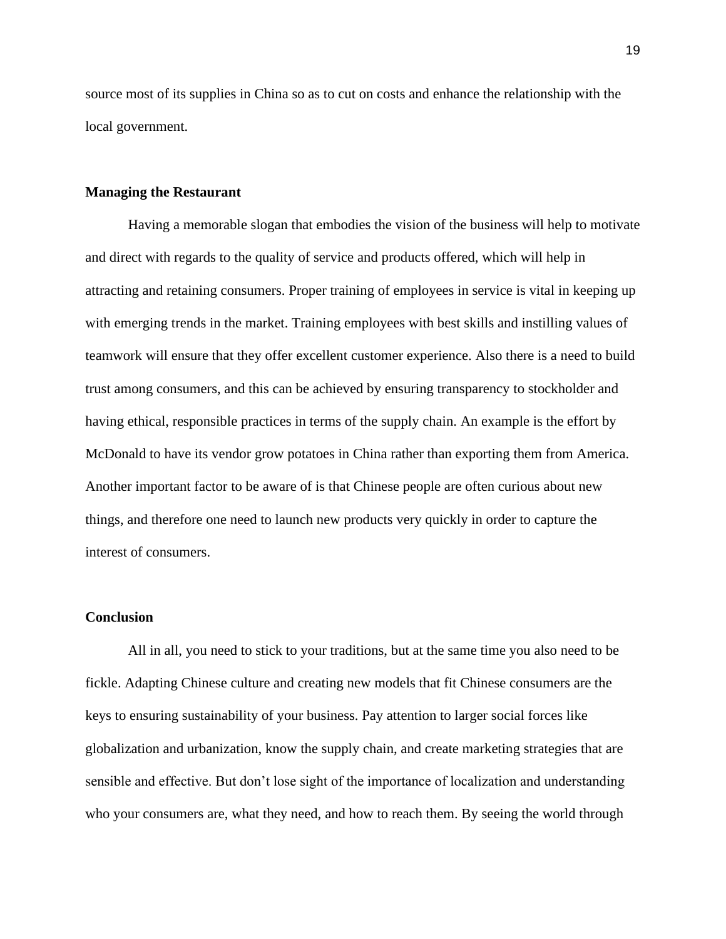source most of its supplies in China so as to cut on costs and enhance the relationship with the local government.

# **Managing the Restaurant**

Having a memorable slogan that embodies the vision of the business will help to motivate and direct with regards to the quality of service and products offered, which will help in attracting and retaining consumers. Proper training of employees in service is vital in keeping up with emerging trends in the market. Training employees with best skills and instilling values of teamwork will ensure that they offer excellent customer experience. Also there is a need to build trust among consumers, and this can be achieved by ensuring transparency to stockholder and having ethical, responsible practices in terms of the supply chain. An example is the effort by McDonald to have its vendor grow potatoes in China rather than exporting them from America. Another important factor to be aware of is that Chinese people are often curious about new things, and therefore one need to launch new products very quickly in order to capture the interest of consumers.

#### **Conclusion**

All in all, you need to stick to your traditions, but at the same time you also need to be fickle. Adapting Chinese culture and creating new models that fit Chinese consumers are the keys to ensuring sustainability of your business. Pay attention to larger social forces like globalization and urbanization, know the supply chain, and create marketing strategies that are sensible and effective. But don't lose sight of the importance of localization and understanding who your consumers are, what they need, and how to reach them. By seeing the world through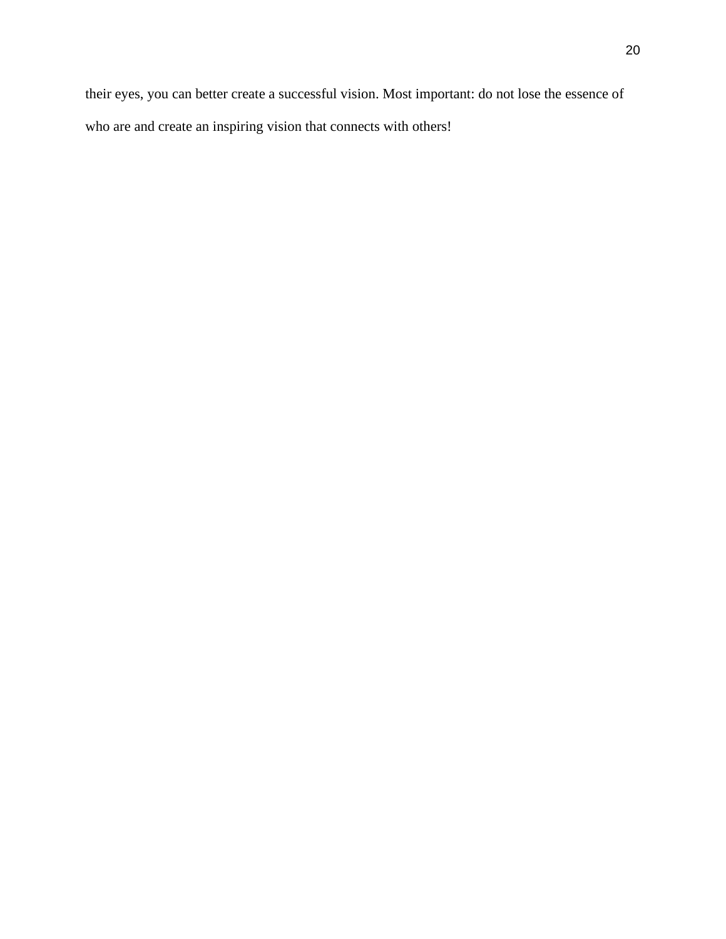their eyes, you can better create a successful vision. Most important: do not lose the essence of who are and create an inspiring vision that connects with others!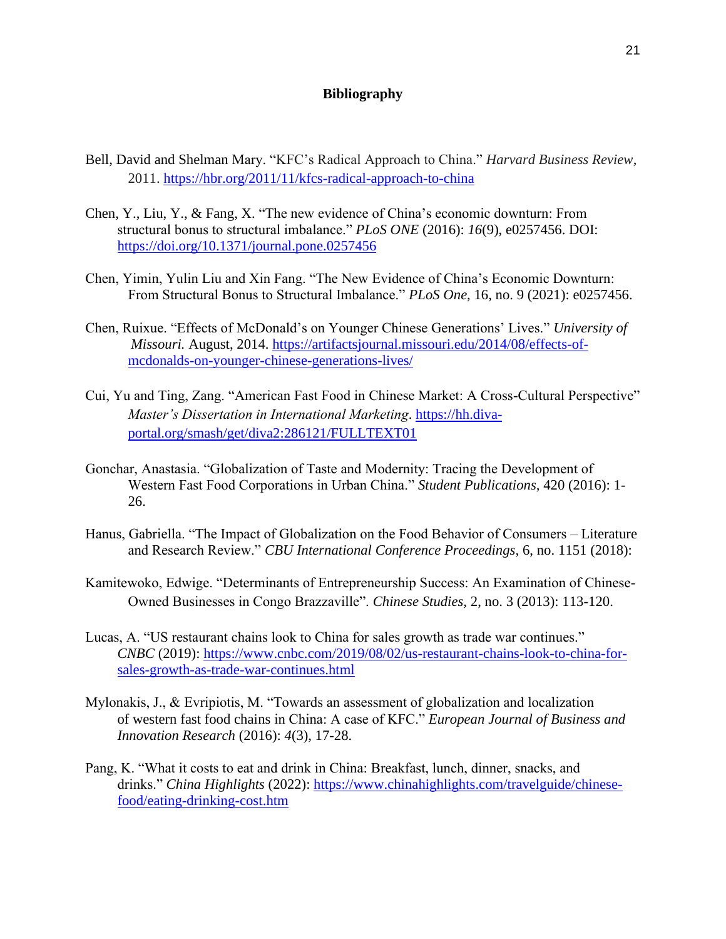# **Bibliography**

- Bell, David and Shelman Mary. "KFC's Radical Approach to China." *Harvard Business Review*, 2011.<https://hbr.org/2011/11/kfcs-radical-approach-to-china>
- Chen, Y., Liu, Y., & Fang, X. "The new evidence of China's economic downturn: From structural bonus to structural imbalance." *PLoS ONE* (2016): *16*(9), e0257456. DOI[:](https://doi.org/10.1371/journal.pone.0257456) <https://doi.org/10.1371/journal.pone.0257456>
- Chen, Yimin, Yulin Liu and Xin Fang. "The New Evidence of China's Economic Downturn: From Structural Bonus to Structural Imbalance." *PLoS One,* 16, no. 9 (2021): e0257456.
- Chen, Ruixue. "Effects of McDonald's on Younger Chinese Generations' Lives." *University of Missouri.* August, 2014. [https://artifactsjournal.missouri.edu/2014/08/effects-of](https://artifactsjournal.missouri.edu/2014/08/effects-of-mcdonalds-on-younger-chinese-generations-lives/)[mcdonalds-on-younger-chinese-generations-lives/](https://artifactsjournal.missouri.edu/2014/08/effects-of-mcdonalds-on-younger-chinese-generations-lives/)
- Cui, Yu and Ting, Zang. "American Fast Food in Chinese Market: A Cross-Cultural Perspective" *Master's Dissertation in International Marketing*. [https://hh.diva](https://hh.diva-portal.org/smash/get/diva2:286121/FULLTEXT01)[portal.org/smash/get/diva2:286121/FULLTEXT01](https://hh.diva-portal.org/smash/get/diva2:286121/FULLTEXT01)
- Gonchar, Anastasia. "Globalization of Taste and Modernity: Tracing the Development of Western Fast Food Corporations in Urban China." *Student Publications,* 420 (2016): 1- 26.
- Hanus, Gabriella. "The Impact of Globalization on the Food Behavior of Consumers Literature and Research Review." *CBU International Conference Proceedings,* 6, no. 1151 (2018):
- Kamitewoko, Edwige. "Determinants of Entrepreneurship Success: An Examination of Chinese-Owned Businesses in Congo Brazzaville". *Chinese Studies,* 2, no. 3 (2013): 113-120.
- Lucas, A. "US restaurant chains look to China for sales growth as trade war continues." *CNBC* (2019)[:](https://www.cnbc.com/2019/08/02/us-restaurant-chains-look-to-china-for-sales-growth-as-trade-war-continues.html) [https://www.cnbc.com/2019/08/02/us-restaurant-chains-look-to-china-for](https://www.cnbc.com/2019/08/02/us-restaurant-chains-look-to-china-for-sales-growth-as-trade-war-continues.html)[sales-growth-as-trade-war-continues.html](https://www.cnbc.com/2019/08/02/us-restaurant-chains-look-to-china-for-sales-growth-as-trade-war-continues.html)
- Mylonakis, J., & Evripiotis, M. "Towards an assessment of globalization and localization of western fast food chains in China: A case of KFC." *European Journal of Business and Innovation Research* (2016): *4*(3), 17-28.
- Pang, K. "What it costs to eat and drink in China: Breakfast, lunch, dinner, snacks, and drinks." *China Highlights* (2022)[:](https://www.chinahighlights.com/travelguide/chinese-food/eating-drinking-cost.htm) [https://www.chinahighlights.com/travelguide/chinese](https://www.chinahighlights.com/travelguide/chinese-food/eating-drinking-cost.htm)[food/eating-drinking-cost.htm](https://www.chinahighlights.com/travelguide/chinese-food/eating-drinking-cost.htm)